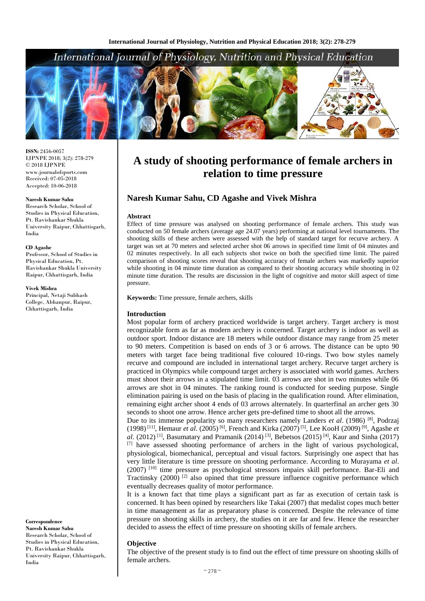# International Journal of Physiology, Nutrition and Physical Education



**ISSN:** 2456-0057 IJPNPE 2018; 3(2): 278-279  $\odot$  2018 IJPNPE www.journalofsports.com Received: 07-05-2018 Accepted: 10-06-2018

#### **Naresh Kumar Sahu**

Research Scholar, School of Studies in Physical Education, Pt. Ravishankar Shukla University Raipur, Chhattisgarh, India

#### **CD Agashe**

Professor, School of Studies in Physical Education, Pt. Ravishankar Shukla University Raipur, Chhattisgarh, India

#### **Vivek Mishra**

Principal, Netaji Subhash College, Abhanpur, Raipur, Chhattisgarh, India

**Correspondence Naresh Kumar Sahu** Research Scholar, School of Studies in Physical Education, Pt. Ravishankar Shukla University Raipur, Chhattisgarh, India

# **A study of shooting performance of female archers in relation to time pressure**

## **Naresh Kumar Sahu, CD Agashe and Vivek Mishra**

#### **Abstract**

Effect of time pressure was analysed on shooting performance of female archers. This study was conducted on 50 female archers (average age 24.07 years) performing at national level tournaments. The shooting skills of these archers were assessed with the help of standard target for recurve archery. A target was set at 70 meters and selected archer shot 06 arrows in specified time limit of 04 minutes and 02 minutes respectively. In all each subjects shot twice on both the specified time limit. The paired comparison of shooting scores reveal that shooting accuracy of female archers was markedly superior while shooting in 04 minute time duration as compared to their shooting accuracy while shooting in 02 minute time duration. The results are discussion in the light of cognitive and motor skill aspect of time pressure.

**Keywords:** Time pressure, female archers, skills

#### **Introduction**

Most popular form of archery practiced worldwide is target archery. Target archery is most recognizable form as far as modern archery is concerned. Target archery is indoor as well as outdoor sport. Indoor distance are 18 meters while outdoor distance may range from 25 meter to 90 meters. Competition is based on ends of 3 or 6 arrows. The distance can be upto 90 meters with target face being traditional five coloured 10-rings. Two bow styles namely recurve and compound are included in international target archery. Recurve target archery is practiced in Olympics while compound target archery is associated with world games. Archers must shoot their arrows in a stipulated time limit. 03 arrows are shot in two minutes while 06 arrows are shot in 04 minutes. The ranking round is conducted for seeding purpose. Single elimination pairing is used on the basis of placing in the qualification round. After elimination, remaining eight archer shoot 4 ends of 03 arrows alternately. In quarterfinal an archer gets 30 seconds to shoot one arrow. Hence archer gets pre-defined time to shoot all the arrows.

Due to its immense popularity so many researchers namely Landers *et al*. (1986) [8], Podrzaj (1998) [11] , Hemaur *et al*. (2005) [6] , French and Kirka (2007) [5] , Lee KooH (2009) [9] , Agashe *et al.* (2012)<sup>[1]</sup>, Basumatary and Pramanik (2014)<sup>[3]</sup>, Bebetsos (2015)<sup>[4]</sup>, Kaur and Sinha (2017) [7] have assessed shooting performance of archers in the light of various psychological, physiological, biomechanical, perceptual and visual factors. Surprisingly one aspect that has very little literature is time pressure on shooting performance. According to Murayama *et al*.  $(2007)$  [10] time pressure as psychological stressors impairs skill performance. Bar-Eli and Tractinsky (2000)<sup>[2]</sup> also opined that time pressure influence cognitive performance which eventually decreases quality of motor performance.

It is a known fact that time plays a significant part as far as execution of certain task is concerned. It has been opined by researchers like Takai (2007) that medalist copes much better in time management as far as preparatory phase is concerned. Despite the relevance of time pressure on shooting skills in archery, the studies on it are far and few. Hence the researcher decided to assess the effect of time pressure on shooting skills of female archers.

### **Objective**

The objective of the present study is to find out the effect of time pressure on shooting skills of female archers.